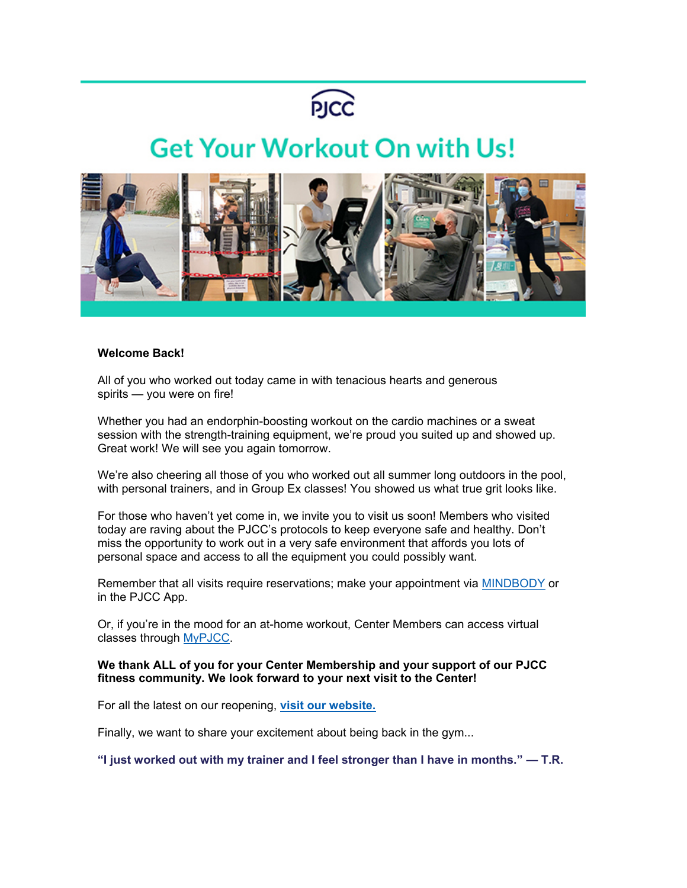

## **Get Your Workout On with Us!**



## **Welcome Back!**

All of you who worked out today came in with tenacious hearts and generous spirits — you were on fire!

Whether you had an endorphin-boosting workout on the cardio machines or a sweat session with the strength-training equipment, we're proud you suited up and showed up. Great work! We will see you again tomorrow.

We're also cheering all those of you who worked out all summer long outdoors in the pool, with personal trainers, and in Group Ex classes! You showed us what true grit looks like.

For those who haven't yet come in, we invite you to visit us soon! Members who visited today are raving about the PJCC's protocols to keep everyone safe and healthy. Don't miss the opportunity to work out in a very safe environment that affords you lots of personal space and access to all the equipment you could possibly want.

Remember that all visits require reservations; make your appointment via [MINDBODY](https://pjcc.acemlna.com/lt.php?notrack=1&s=bad97c655476f96a390a72c05a742011&i=354A742A169A3137) or in the PJCC App.

Or, if you're in the mood for an at-home workout, Center Members can access virtual classes through [MyPJCC.](https://pjcc.acemlna.com/lt.php?notrack=1&s=bad97c655476f96a390a72c05a742011&i=354A742A169A3142)

## **We thank ALL of you for your Center Membership and your support of our PJCC fitness community. We look forward to your next visit to the Center!**

For all the latest on our reopening, **[visit our website.](https://pjcc.acemlna.com/lt.php?notrack=1&s=bad97c655476f96a390a72c05a742011&i=354A742A169A3138)**

Finally, we want to share your excitement about being back in the gym...

**"I just worked out with my trainer and I feel stronger than I have in months." — T.R.**